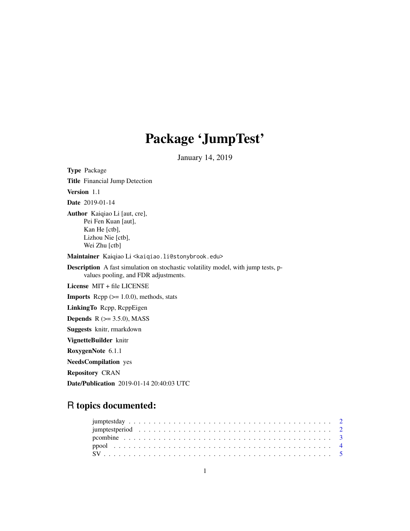## Package 'JumpTest'

January 14, 2019

Type Package Title Financial Jump Detection Version 1.1 Date 2019-01-14 Author Kaiqiao Li [aut, cre], Pei Fen Kuan [aut], Kan He [ctb], Lizhou Nie [ctb], Wei Zhu [ctb] Maintainer Kaiqiao Li <kaiqiao.li@stonybrook.edu> Description A fast simulation on stochastic volatility model, with jump tests, pvalues pooling, and FDR adjustments. License MIT + file LICENSE **Imports** Rcpp  $(>= 1.0.0)$ , methods, stats LinkingTo Rcpp, RcppEigen **Depends**  $R$  ( $>= 3.5.0$ ), MASS Suggests knitr, rmarkdown VignetteBuilder knitr RoxygenNote 6.1.1 NeedsCompilation yes Repository CRAN Date/Publication 2019-01-14 20:40:03 UTC

### R topics documented: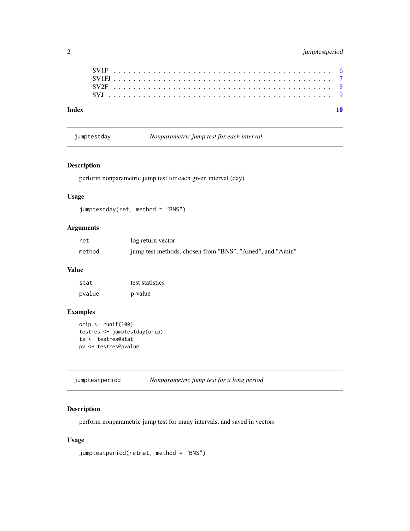<span id="page-1-0"></span>

|--|

jumptestday *Nonparametric jump test for each interval*

#### Description

perform nonparametric jump test for each given interval (day)

#### Usage

jumptestday(ret, method = "BNS")

#### Arguments

| ret    | log return vector                                        |
|--------|----------------------------------------------------------|
| method | jump test methods, chosen from "BNS", "Amed", and "Amin" |

#### Value

| stat   | test statistics |
|--------|-----------------|
| pvalue | p-value         |

#### Examples

```
orip <- runif(100)
testres <- jumptestday(orip)
ts <- testres@stat
pv <- testres@pvalue
```
jumptestperiod *Nonparametric jump test for a long period*

#### Description

perform nonparametric jump test for many intervals, and saved in vectors

#### Usage

```
jumptestperiod(retmat, method = "BNS")
```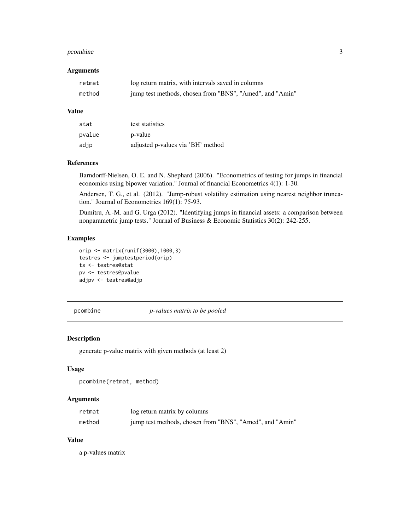#### <span id="page-2-0"></span>pcombine 3

#### Arguments

| retmat | log return matrix, with intervals saved in columns       |
|--------|----------------------------------------------------------|
| method | jump test methods, chosen from "BNS", "Amed", and "Amin" |

#### Value

| stat   | test statistics                   |
|--------|-----------------------------------|
| pvalue | p-value                           |
| adjp   | adjusted p-values via 'BH' method |

#### References

Barndorff-Nielsen, O. E. and N. Shephard (2006). "Econometrics of testing for jumps in financial economics using bipower variation." Journal of financial Econometrics 4(1): 1-30.

Andersen, T. G., et al. (2012). "Jump-robust volatility estimation using nearest neighbor truncation." Journal of Econometrics 169(1): 75-93.

Dumitru, A.-M. and G. Urga (2012). "Identifying jumps in financial assets: a comparison between nonparametric jump tests." Journal of Business & Economic Statistics 30(2): 242-255.

#### Examples

```
orip <- matrix(runif(3000),1000,3)
testres <- jumptestperiod(orip)
ts <- testres@stat
pv <- testres@pvalue
adjpv <- testres@adjp
```
pcombine *p-values matrix to be pooled*

#### Description

generate p-value matrix with given methods (at least 2)

#### Usage

```
pcombine(retmat, method)
```
#### Arguments

| retmat | log return matrix by columns                             |
|--------|----------------------------------------------------------|
| method | jump test methods, chosen from "BNS", "Amed", and "Amin" |

#### Value

a p-values matrix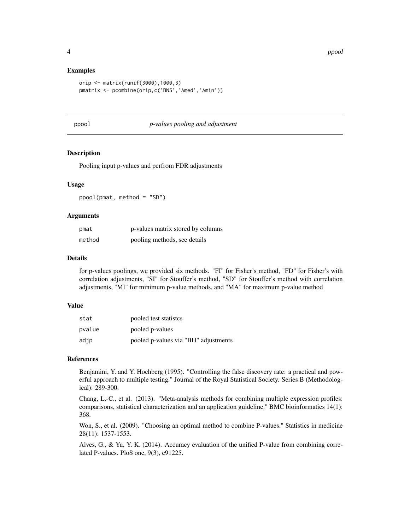#### Examples

```
orip <- matrix(runif(3000),1000,3)
pmatrix <- pcombine(orip,c('BNS','Amed','Amin'))
```
ppool *p-values pooling and adjustment*

#### Description

Pooling input p-values and perfrom FDR adjustments

#### Usage

ppool(pmat, method = "SD")

#### Arguments

| pmat   | p-values matrix stored by columns |
|--------|-----------------------------------|
| method | pooling methods, see details      |

#### Details

for p-values poolings, we provided six methods. "FI" for Fisher's method, "FD" for Fisher's with correlation adjustments, "SI" for Stouffer's method, "SD" for Stouffer's method with correlation adjustments, "MI" for minimum p-value methods, and "MA" for maximum p-value method

#### Value

| stat   | pooled test statistes                |
|--------|--------------------------------------|
| pvalue | pooled p-values                      |
| adjp   | pooled p-values via "BH" adjustments |

#### References

Benjamini, Y. and Y. Hochberg (1995). "Controlling the false discovery rate: a practical and powerful approach to multiple testing." Journal of the Royal Statistical Society. Series B (Methodological): 289-300.

Chang, L.-C., et al. (2013). "Meta-analysis methods for combining multiple expression profiles: comparisons, statistical characterization and an application guideline." BMC bioinformatics 14(1): 368.

Won, S., et al. (2009). "Choosing an optimal method to combine P-values." Statistics in medicine 28(11): 1537-1553.

Alves, G., & Yu, Y. K. (2014). Accuracy evaluation of the unified P-value from combining correlated P-values. PloS one, 9(3), e91225.

<span id="page-3-0"></span>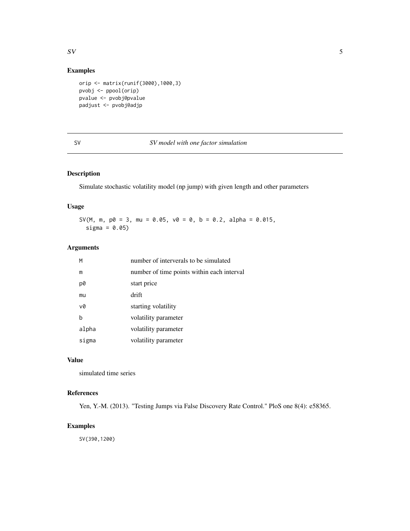#### <span id="page-4-0"></span> $SV$  5

#### Examples

```
orip <- matrix(runif(3000),1000,3)
pvobj <- ppool(orip)
pvalue <- pvobj@pvalue
padjust <- pvobj@adjp
```
#### SV *SV model with one factor simulation*

### Description

Simulate stochastic volatility model (np jump) with given length and other parameters

#### Usage

SV(M, m,  $p0 = 3$ , mu = 0.05,  $v0 = 0$ ,  $b = 0.2$ , alpha = 0.015, sigma =  $0.05$ )

#### Arguments

| M     | number of interverals to be simulated      |
|-------|--------------------------------------------|
| m     | number of time points within each interval |
| p0    | start price                                |
| mu    | drift                                      |
| v0    | starting volatility                        |
| h     | volatility parameter                       |
| alpha | volatility parameter                       |
| sigma | volatility parameter                       |

#### Value

simulated time series

#### References

Yen, Y.-M. (2013). "Testing Jumps via False Discovery Rate Control." PloS one 8(4): e58365.

#### Examples

SV(390,1200)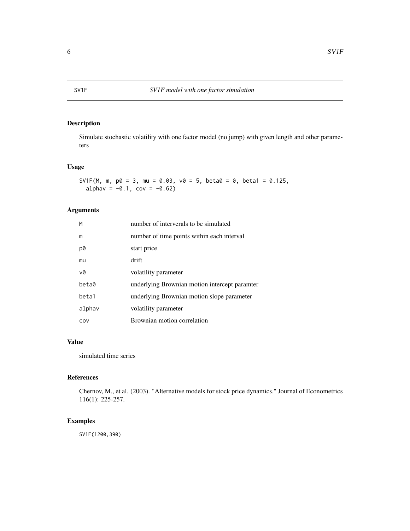<span id="page-5-0"></span>

### Description

Simulate stochastic volatility with one factor model (no jump) with given length and other parameters

#### Usage

```
SV1F(M, m, p0 = 3, mu = 0.03, v0 = 5, beta0 = 0, beta1 = 0.125,
  alpha = -0.1, cov = -0.62
```
### Arguments

| M      | number of interverals to be simulated         |
|--------|-----------------------------------------------|
| m      | number of time points within each interval    |
| p0     | start price                                   |
| mu     | drift                                         |
| v0     | volatility parameter                          |
| beta0  | underlying Brownian motion intercept paramter |
| beta1  | underlying Brownian motion slope parameter    |
| alphav | volatility parameter                          |
| COV    | Brownian motion correlation                   |

#### Value

simulated time series

#### References

Chernov, M., et al. (2003). "Alternative models for stock price dynamics." Journal of Econometrics 116(1): 225-257.

#### Examples

SV1F(1200,390)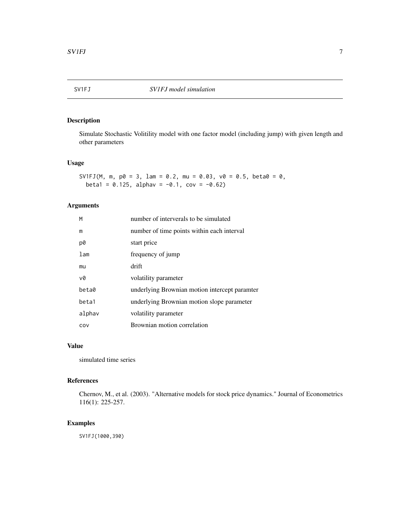#### <span id="page-6-0"></span>Description

Simulate Stochastic Volitility model with one factor model (including jump) with given length and other parameters

#### Usage

SV1FJ(M, m,  $p0 = 3$ , lam = 0.2, mu = 0.03,  $v0 = 0.5$ , beta0 = 0, beta1 =  $0.125$ , alphav =  $-0.1$ , cov =  $-0.62$ )

#### Arguments

| M               | number of interverals to be simulated         |
|-----------------|-----------------------------------------------|
| m               | number of time points within each interval    |
| p0              | start price                                   |
| 1 <sub>am</sub> | frequency of jump                             |
| mu              | drift                                         |
| v0              | volatility parameter                          |
| beta0           | underlying Brownian motion intercept paramter |
| beta1           | underlying Brownian motion slope parameter    |
| alphav          | volatility parameter                          |
| COV             | Brownian motion correlation                   |

#### Value

simulated time series

#### References

Chernov, M., et al. (2003). "Alternative models for stock price dynamics." Journal of Econometrics 116(1): 225-257.

#### Examples

SV1FJ(1000,390)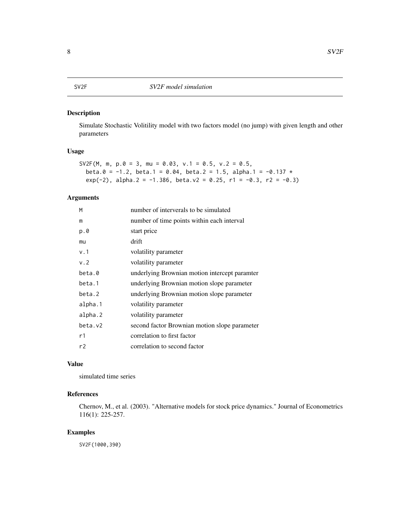#### <span id="page-7-0"></span>SV2F *SV2F model simulation*

#### Description

Simulate Stochastic Volitility model with two factors model (no jump) with given length and other parameters

#### Usage

```
SV2F(M, m, p.0 = 3, mu = 0.03, v.1 = 0.5, v.2 = 0.5,
 beta.0 = -1.2, beta.1 = 0.04, beta.2 = 1.5, alpha.1 = -0.137 *
 exp(-2), alpha.2 = -1.386, beta.v2 = 0.25, r1 = -0.3, r2 = -0.3)
```
#### Arguments

| number of interverals to be simulated         |
|-----------------------------------------------|
| number of time points within each interval    |
| start price                                   |
| drift                                         |
| volatility parameter                          |
| volatility parameter                          |
| underlying Brownian motion intercept paramter |
| underlying Brownian motion slope parameter    |
| underlying Brownian motion slope parameter    |
| volatility parameter                          |
| volatility parameter                          |
| second factor Brownian motion slope parameter |
| correlation to first factor                   |
| correlation to second factor                  |
|                                               |

#### Value

simulated time series

#### References

Chernov, M., et al. (2003). "Alternative models for stock price dynamics." Journal of Econometrics 116(1): 225-257.

#### Examples

SV2F(1000,390)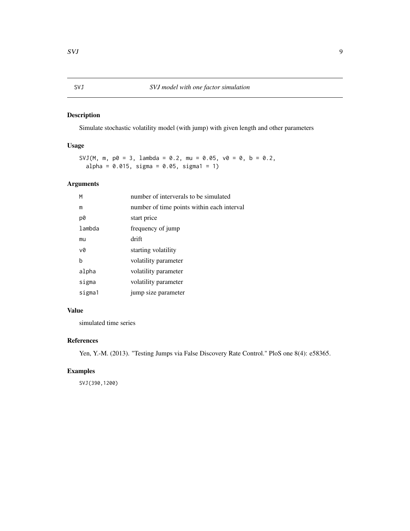#### <span id="page-8-0"></span>Description

Simulate stochastic volatility model (with jump) with given length and other parameters

#### Usage

SVJ(M, m,  $p0 = 3$ , lambda = 0.2, mu = 0.05,  $v0 = 0$ , b = 0.2,  $alpha = 0.015$ , sigma = 0.05, sigma1 = 1)

#### Arguments

| М      | number of interverals to be simulated      |
|--------|--------------------------------------------|
| m      | number of time points within each interval |
| p0     | start price                                |
| lambda | frequency of jump                          |
| mu     | drift                                      |
| v0     | starting volatility                        |
| b      | volatility parameter                       |
| alpha  | volatility parameter                       |
| sigma  | volatility parameter                       |
| sigma1 | jump size parameter                        |
|        |                                            |

#### Value

simulated time series

#### References

Yen, Y.-M. (2013). "Testing Jumps via False Discovery Rate Control." PloS one 8(4): e58365.

#### Examples

SVJ(390,1200)